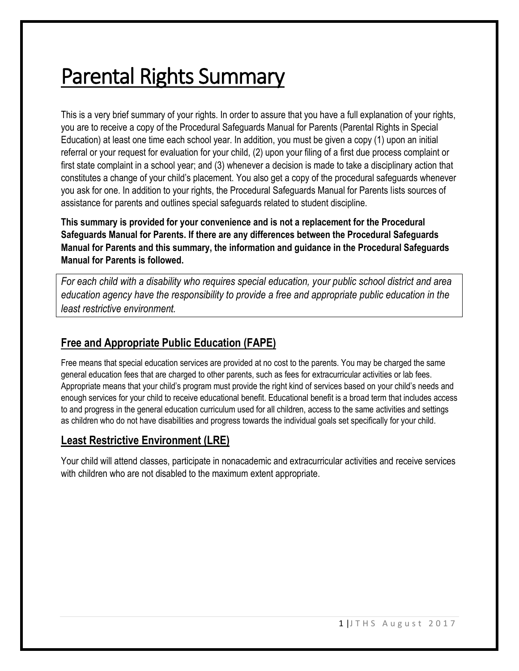# Parental Rights Summary

This is a very brief summary of your rights. In order to assure that you have a full explanation of your rights, you are to receive a copy of the Procedural Safeguards Manual for Parents (Parental Rights in Special Education) at least one time each school year. In addition, you must be given a copy (1) upon an initial referral or your request for evaluation for your child, (2) upon your filing of a first due process complaint or first state complaint in a school year; and (3) whenever a decision is made to take a disciplinary action that constitutes a change of your child's placement. You also get a copy of the procedural safeguards whenever you ask for one. In addition to your rights, the Procedural Safeguards Manual for Parents lists sources of assistance for parents and outlines special safeguards related to student discipline.

**This summary is provided for your convenience and is not a replacement for the Procedural Safeguards Manual for Parents. If there are any differences between the Procedural Safeguards Manual for Parents and this summary, the information and guidance in the Procedural Safeguards Manual for Parents is followed.**

*For each child with a disability who requires special education, your public school district and area education agency have the responsibility to provide a free and appropriate public education in the least restrictive environment.*

# **Free and Appropriate Public Education (FAPE)**

Free means that special education services are provided at no cost to the parents. You may be charged the same general education fees that are charged to other parents, such as fees for extracurricular activities or lab fees. Appropriate means that your child's program must provide the right kind of services based on your child's needs and enough services for your child to receive educational benefit. Educational benefit is a broad term that includes access to and progress in the general education curriculum used for all children, access to the same activities and settings as children who do not have disabilities and progress towards the individual goals set specifically for your child.

## **Least Restrictive Environment (LRE)**

Your child will attend classes, participate in nonacademic and extracurricular activities and receive services with children who are not disabled to the maximum extent appropriate.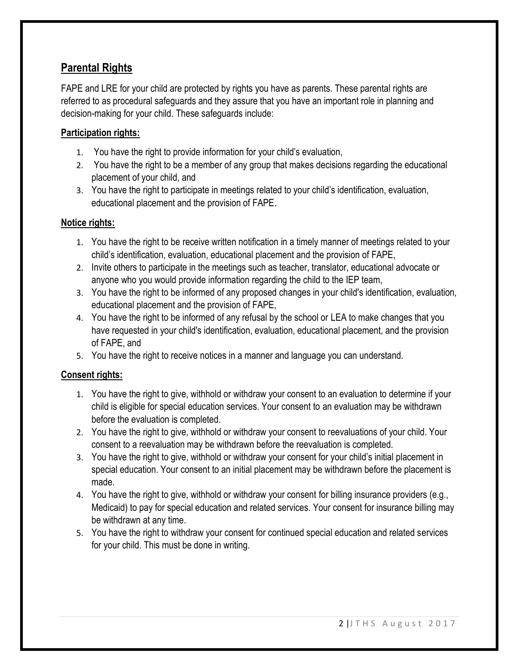## **Parental Rights**

FAPE and LRE for your child are protected by rights you have as parents. These parental rights are referred to as procedural safeguards and they assure that you have an important role in planning and decision-making for your child. These safeguards include:

## **Participation rights:**

- 1. You have the right to provide information for your child's evaluation,
- 2. You have the right to be a member of any group that makes decisions regarding the educational placement of your child, and
- 3. You have the right to participate in meetings related to your child's identification, evaluation, educational placement and the provision of FAPE.

## **Notice rights:**

- 1. You have the right to be receive written notification in a timely manner of meetings related to your child's identification, evaluation, educational placement and the provision of FAPE,
- 2. Invite others to participate in the meetings such as teacher, translator, educational advocate or anyone who you would provide information regarding the child to the IEP team,
- 3. You have the right to be informed of any proposed changes in your child's identification, evaluation, educational placement and the provision of FAPE,
- 4. You have the right to be informed of any refusal by the school or LEA to make changes that you have requested in your child's identification, evaluation, educational placement, and the provision of FAPE, and
- 5. You have the right to receive notices in a manner and language you can understand.

## **Consent rights:**

- 1. You have the right to give, withhold or withdraw your consent to an evaluation to determine if your child is eligible for special education services. Your consent to an evaluation may be withdrawn before the evaluation is completed.
- 2. You have the right to give, withhold or withdraw your consent to reevaluations of your child. Your consent to a reevaluation may be withdrawn before the reevaluation is completed.
- 3. You have the right to give, withhold or withdraw your consent for your child's initial placement in special education. Your consent to an initial placement may be withdrawn before the placement is made.
- 4. You have the right to give, withhold or withdraw your consent for billing insurance providers (e.g., Medicaid) to pay for special education and related services. Your consent for insurance billing may be withdrawn at any time.
- 5. You have the right to withdraw your consent for continued special education and related services for your child. This must be done in writing.